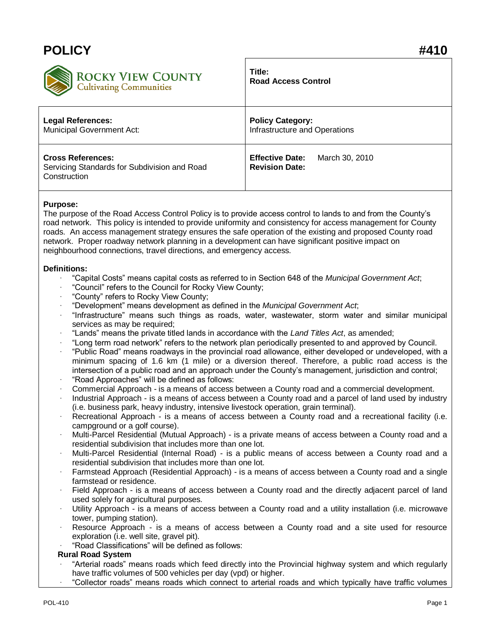# **POLICY #410**



# **Title: Road Access Control**

| ~                                            |                               |
|----------------------------------------------|-------------------------------|
| <b>Legal References:</b>                     | <b>Policy Category:</b>       |
| <b>Municipal Government Act:</b>             | Infrastructure and Operations |
| <b>Cross References:</b>                     | <b>Effective Date:</b>        |
| Servicing Standards for Subdivision and Road | March 30, 2010                |
| Construction                                 | <b>Revision Date:</b>         |

## **Purpose:**

The purpose of the Road Access Control Policy is to provide access control to lands to and from the County's road network. This policy is intended to provide uniformity and consistency for access management for County roads. An access management strategy ensures the safe operation of the existing and proposed County road network. Proper roadway network planning in a development can have significant positive impact on neighbourhood connections, travel directions, and emergency access.

### **Definitions:**

- · "Capital Costs" means capital costs as referred to in Section 648 of the *Municipal Government Act*;
- · "Council" refers to the Council for Rocky View County;
- · "County" refers to Rocky View County;
- · "Development" means development as defined in the *Municipal Government Act*;
- · "Infrastructure" means such things as roads, water, wastewater, storm water and similar municipal services as may be required:
- · "Lands" means the private titled lands in accordance with the *Land Titles Act*, as amended;
- · "Long term road network" refers to the network plan periodically presented to and approved by Council.
- · "Public Road" means roadways in the provincial road allowance, either developed or undeveloped, with a minimum spacing of 1.6 km (1 mile) or a diversion thereof. Therefore, a public road access is the intersection of a public road and an approach under the County's management, jurisdiction and control;
- · "Road Approaches" will be defined as follows:
- · Commercial Approach is a means of access between a County road and a commercial development.
- Industrial Approach is a means of access between a County road and a parcel of land used by industry (i.e. business park, heavy industry, intensive livestock operation, grain terminal).
- Recreational Approach is a means of access between a County road and a recreational facility (i.e. campground or a golf course).
- · Multi-Parcel Residential (Mutual Approach) is a private means of access between a County road and a residential subdivision that includes more than one lot.
- · Multi-Parcel Residential (Internal Road) is a public means of access between a County road and a residential subdivision that includes more than one lot.
- · Farmstead Approach (Residential Approach) is a means of access between a County road and a single farmstead or residence.
- Field Approach is a means of access between a County road and the directly adjacent parcel of land used solely for agricultural purposes.
- Utility Approach is a means of access between a County road and a utility installation (i.e. microwave tower, pumping station).
- Resource Approach is a means of access between a County road and a site used for resource exploration (i.e. well site, gravel pit).
- · "Road Classifications" will be defined as follows:

#### **Rural Road System**

- · "Arterial roads" means roads which feed directly into the Provincial highway system and which regularly have traffic volumes of 500 vehicles per day (vpd) or higher.
	- · "Collector roads" means roads which connect to arterial roads and which typically have traffic volumes